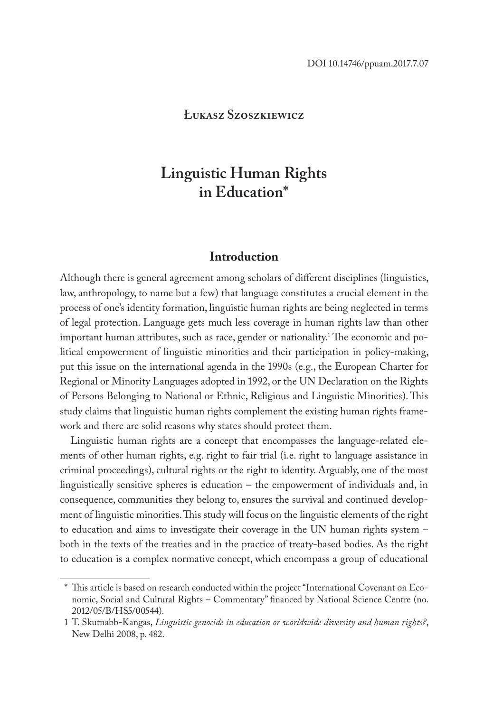# **Łukasz Szoszkiewicz**

# **Linguistic Human Rights in Education\***

## **Introduction**

Although there is general agreement among scholars of different disciplines (linguistics, law, anthropology, to name but a few) that language constitutes a crucial element in the process of one's identity formation, linguistic human rights are being neglected in terms of legal protection. Language gets much less coverage in human rights law than other important human attributes, such as race, gender or nationality.1 The economic and political empowerment of linguistic minorities and their participation in policy-making, put this issue on the international agenda in the 1990s (e.g., the European Charter for Regional or Minority Languages adopted in 1992, or the UN Declaration on the Rights of Persons Belonging to National or Ethnic, Religious and Linguistic Minorities). This study claims that linguistic human rights complement the existing human rights framework and there are solid reasons why states should protect them.

Linguistic human rights are a concept that encompasses the language-related elements of other human rights, e.g. right to fair trial (i.e. right to language assistance in criminal proceedings), cultural rights or the right to identity. Arguably, one of the most linguistically sensitive spheres is education – the empowerment of individuals and, in consequence, communities they belong to, ensures the survival and continued development of linguistic minorities. This study will focus on the linguistic elements of the right to education and aims to investigate their coverage in the UN human rights system – both in the texts of the treaties and in the practice of treaty-based bodies. As the right to education is a complex normative concept, which encompass a group of educational

<sup>\*</sup> This article is based on research conducted within the project "International Covenant on Economic, Social and Cultural Rights – Commentary" financed by National Science Centre (no. 2012/05/B/HS5/00544).

<sup>1</sup> T. Skutnabb-Kangas, *Linguistic genocide in education or worldwide diversity and human rights?*, New Delhi 2008, p. 482.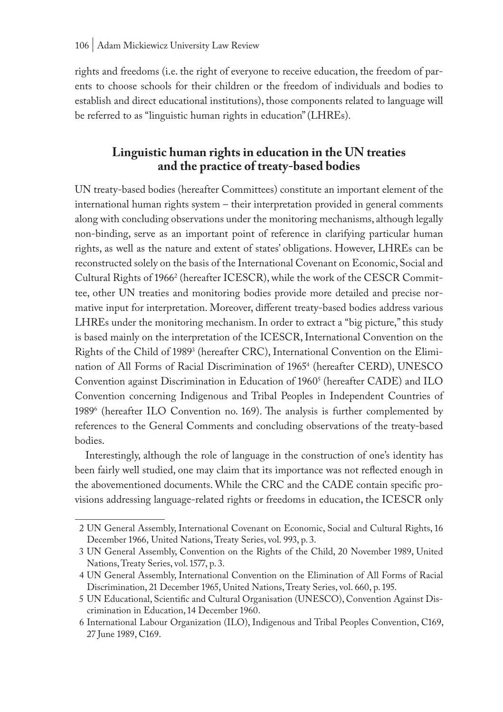rights and freedoms (i.e. the right of everyone to receive education, the freedom of parents to choose schools for their children or the freedom of individuals and bodies to establish and direct educational institutions), those components related to language will be referred to as "linguistic human rights in education" (LHREs).

# **Linguistic human rights in education in the UN treaties and the practice of treaty-based bodies**

UN treaty-based bodies (hereafter Committees) constitute an important element of the international human rights system – their interpretation provided in general comments along with concluding observations under the monitoring mechanisms, although legally non-binding, serve as an important point of reference in clarifying particular human rights, as well as the nature and extent of states' obligations. However, LHREs can be reconstructed solely on the basis of the International Covenant on Economic, Social and Cultural Rights of 1966<sup>2</sup> (hereafter ICESCR), while the work of the CESCR Committee, other UN treaties and monitoring bodies provide more detailed and precise normative input for interpretation. Moreover, different treaty-based bodies address various LHREs under the monitoring mechanism. In order to extract a "big picture," this study is based mainly on the interpretation of the ICESCR, International Convention on the Rights of the Child of 1989<sup>3</sup> (hereafter CRC), International Convention on the Elimination of All Forms of Racial Discrimination of 1965<sup>4</sup> (hereafter CERD), UNESCO Convention against Discrimination in Education of 1960<sup>s</sup> (hereafter CADE) and ILO Convention concerning Indigenous and Tribal Peoples in Independent Countries of 19896 (hereafter ILO Convention no. 169). The analysis is further complemented by references to the General Comments and concluding observations of the treaty-based bodies.

Interestingly, although the role of language in the construction of one's identity has been fairly well studied, one may claim that its importance was not reflected enough in the abovementioned documents. While the CRC and the CADE contain specific provisions addressing language-related rights or freedoms in education, the ICESCR only

<sup>2</sup> UN General Assembly, International Covenant on Economic, Social and Cultural Rights, 16 December 1966, United Nations, Treaty Series, vol. 993, p. 3.

<sup>3</sup> UN General Assembly, Convention on the Rights of the Child, 20 November 1989, United Nations, Treaty Series, vol. 1577, p. 3.

<sup>4</sup> UN General Assembly, International Convention on the Elimination of All Forms of Racial Discrimination, 21 December 1965, United Nations, Treaty Series, vol. 660, p. 195.

<sup>5</sup> UN Educational, Scientific and Cultural Organisation (UNESCO), Convention Against Discrimination in Education, 14 December 1960.

<sup>6</sup> International Labour Organization (ILO), Indigenous and Tribal Peoples Convention, C169, 27 June 1989, C169.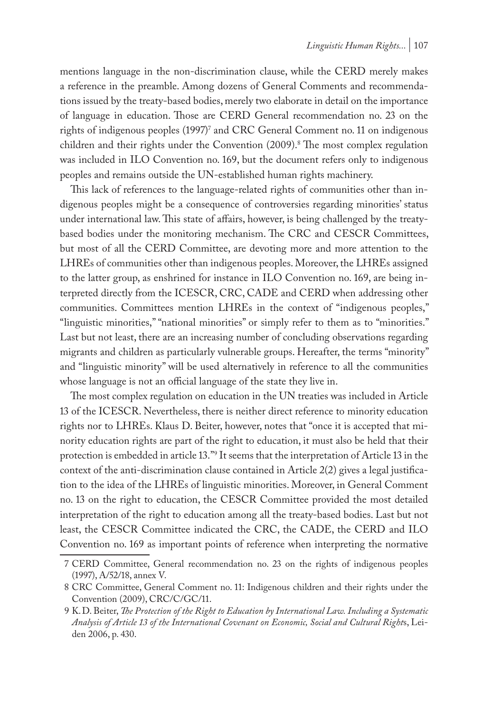mentions language in the non-discrimination clause, while the CERD merely makes a reference in the preamble. Among dozens of General Comments and recommendations issued by the treaty-based bodies, merely two elaborate in detail on the importance of language in education. Those are CERD General recommendation no. 23 on the rights of indigenous peoples (1997) $^{\prime}$  and CRC General Comment no. 11 on indigenous children and their rights under the Convention (2009).<sup>8</sup> The most complex regulation was included in ILO Convention no. 169, but the document refers only to indigenous peoples and remains outside the UN-established human rights machinery.

This lack of references to the language-related rights of communities other than indigenous peoples might be a consequence of controversies regarding minorities' status under international law. This state of affairs, however, is being challenged by the treatybased bodies under the monitoring mechanism. The CRC and CESCR Committees, but most of all the CERD Committee, are devoting more and more attention to the LHREs of communities other than indigenous peoples. Moreover, the LHREs assigned to the latter group, as enshrined for instance in ILO Convention no. 169, are being interpreted directly from the ICESCR, CRC, CADE and CERD when addressing other communities. Committees mention LHREs in the context of "indigenous peoples," "linguistic minorities," "national minorities" or simply refer to them as to "minorities." Last but not least, there are an increasing number of concluding observations regarding migrants and children as particularly vulnerable groups. Hereafter, the terms "minority" and "linguistic minority" will be used alternatively in reference to all the communities whose language is not an official language of the state they live in.

The most complex regulation on education in the UN treaties was included in Article 13 of the ICESCR. Nevertheless, there is neither direct reference to minority education rights nor to LHREs. Klaus D. Beiter, however, notes that "once it is accepted that minority education rights are part of the right to education, it must also be held that their protection is embedded in article 13."9 It seems that the interpretation of Article 13 in the context of the anti-discrimination clause contained in Article 2(2) gives a legal justification to the idea of the LHREs of linguistic minorities. Moreover, in General Comment no. 13 on the right to education, the CESCR Committee provided the most detailed interpretation of the right to education among all the treaty-based bodies. Last but not least, the CESCR Committee indicated the CRC, the CADE, the CERD and ILO Convention no. 169 as important points of reference when interpreting the normative

<sup>7</sup> CERD Committee, General recommendation no. 23 on the rights of indigenous peoples (1997), A/52/18, annex V.

<sup>8</sup> CRC Committee, General Comment no. 11: Indigenous children and their rights under the Convention (2009), CRC/C/GC/11.

<sup>9</sup> K.D. Beiter, *The Protection of the Right to Education by International Law. Including a Systematic Analysis of Article 13 of the International Covenant on Economic, Social and Cultural Right*s, Leiden 2006, p. 430.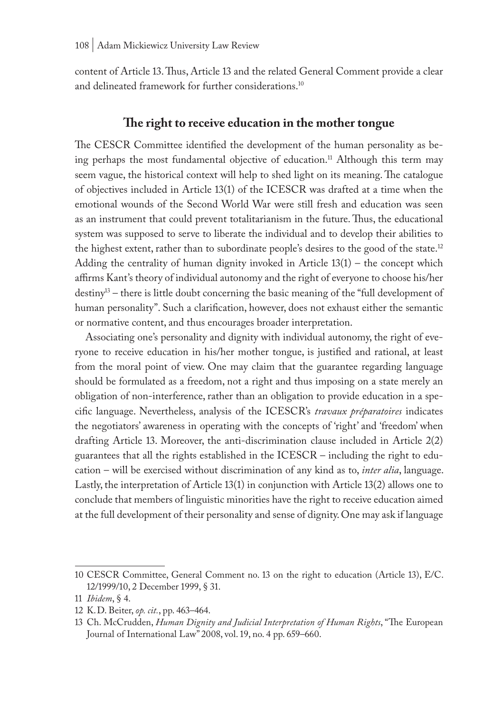content of Article 13. Thus, Article 13 and the related General Comment provide a clear and delineated framework for further considerations.<sup>10</sup>

## **The right to receive education in the mother tongue**

The CESCR Committee identified the development of the human personality as being perhaps the most fundamental objective of education.<sup>11</sup> Although this term may seem vague, the historical context will help to shed light on its meaning. The catalogue of objectives included in Article 13(1) of the ICESCR was drafted at a time when the emotional wounds of the Second World War were still fresh and education was seen as an instrument that could prevent totalitarianism in the future. Thus, the educational system was supposed to serve to liberate the individual and to develop their abilities to the highest extent, rather than to subordinate people's desires to the good of the state.<sup>12</sup> Adding the centrality of human dignity invoked in Article  $13(1)$  – the concept which affirms Kant's theory of individual autonomy and the right of everyone to choose his/her destiny13 – there is little doubt concerning the basic meaning of the "full development of human personality". Such a clarification, however, does not exhaust either the semantic or normative content, and thus encourages broader interpretation.

Associating one's personality and dignity with individual autonomy, the right of everyone to receive education in his/her mother tongue, is justified and rational, at least from the moral point of view. One may claim that the guarantee regarding language should be formulated as a freedom, not a right and thus imposing on a state merely an obligation of non-interference, rather than an obligation to provide education in a specific language. Nevertheless, analysis of the ICESCR's *travaux préparatoires* indicates the negotiators' awareness in operating with the concepts of 'right' and 'freedom' when drafting Article 13. Moreover, the anti-discrimination clause included in Article 2(2) guarantees that all the rights established in the ICESCR – including the right to education – will be exercised without discrimination of any kind as to, *inter alia*, language. Lastly, the interpretation of Article 13(1) in conjunction with Article 13(2) allows one to conclude that members of linguistic minorities have the right to receive education aimed at the full development of their personality and sense of dignity. One may ask if language

<sup>10</sup> CESCR Committee, General Comment no. 13 on the right to education (Article 13), E/C. 12/1999/10, 2 December 1999, § 31.

<sup>11</sup> *Ibidem*, § 4.

<sup>12</sup> K.D. Beiter, *op. cit.*, pp. 463–464.

<sup>13</sup> Ch. McCrudden, *Human Dignity and Judicial Interpretation of Human Rights*, "The European Journal of International Law" 2008, vol. 19, no. 4 pp. 659–660.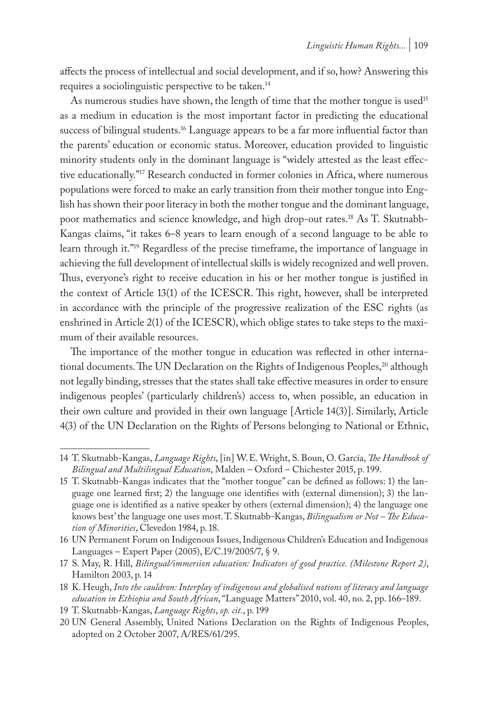affects the process of intellectual and social development, and if so, how? Answering this requires a sociolinguistic perspective to be taken.<sup>14</sup>

As numerous studies have shown, the length of time that the mother tongue is used<sup>15</sup> as a medium in education is the most important factor in predicting the educational success of bilingual students.<sup>16</sup> Language appears to be a far more influential factor than the parents' education or economic status. Moreover, education provided to linguistic minority students only in the dominant language is "widely attested as the least effective educationally."17 Research conducted in former colonies in Africa, where numerous populations were forced to make an early transition from their mother tongue into English has shown their poor literacy in both the mother tongue and the dominant language, poor mathematics and science knowledge, and high drop-out rates.18 As T. Skutnabb-Kangas claims, "it takes 6–8 years to learn enough of a second language to be able to learn through it."19 Regardless of the precise timeframe, the importance of language in achieving the full development of intellectual skills is widely recognized and well proven. Thus, everyone's right to receive education in his or her mother tongue is justified in the context of Article 13(1) of the ICESCR. This right, however, shall be interpreted in accordance with the principle of the progressive realization of the ESC rights (as enshrined in Article 2(1) of the ICESCR), which oblige states to take steps to the maximum of their available resources.

The importance of the mother tongue in education was reflected in other international documents. The UN Declaration on the Rights of Indigenous Peoples,<sup>20</sup> although not legally binding, stresses that the states shall take effective measures in order to ensure indigenous peoples' (particularly children's) access to, when possible, an education in their own culture and provided in their own language [Article 14(3)]. Similarly, Article 4(3) of the UN Declaration on the Rights of Persons belonging to National or Ethnic,

<sup>14</sup> T. Skutnabb-Kangas, *Language Rights*, [in] W.E. Wright, S. Boun, O. García, *The Handbook of Bilingual and Multilingual Education*, Malden – Oxford – Chichester 2015, p. 199.

<sup>15</sup> T. Skutnabb-Kangas indicates that the "mother tongue" can be defined as follows: 1) the language one learned first; 2) the language one identifies with (external dimension); 3) the language one is identified as a native speaker by others (external dimension); 4) the language one knows best' the language one uses most. T. Skutnabb-Kangas, *Bilingualism or Not – The Education of Minorities*, Clevedon 1984, p. 18.

<sup>16</sup> UN Permanent Forum on Indigenous Issues, Indigenous Children's Education and Indigenous Languages – Expert Paper (2005), E/C.19/2005/7, § 9.

<sup>17</sup> S. May, R. Hill, *Bilingual/immersion education: Indicators of good practice. (Milestone Report 2)*, Hamilton 2003, p. 14

<sup>18</sup> K. Heugh, *Into the cauldron: Interplay of indigenous and globalised notions of literacy and language education in Ethiopia and South African*, "Language Matters" 2010, vol. 40, no. 2, pp. 166–189.

<sup>19</sup> T. Skutnabb-Kangas, *Language Rights*, *op. cit.*, p. 199

<sup>20</sup> UN General Assembly, United Nations Declaration on the Rights of Indigenous Peoples, adopted on 2 October 2007, A/RES/61/295.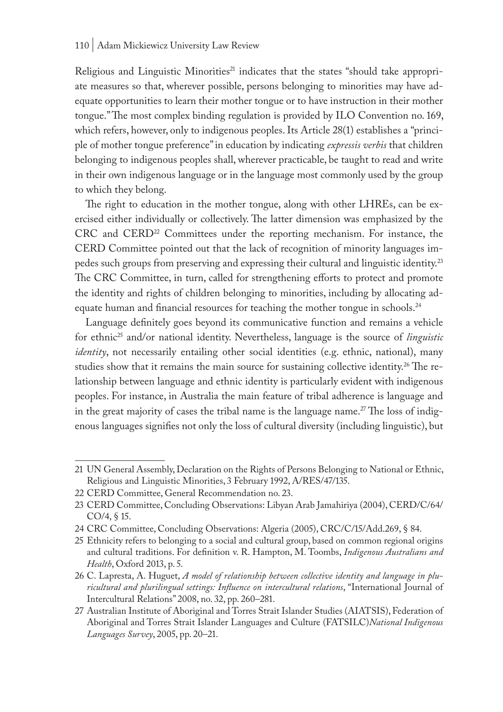Religious and Linguistic Minorities<sup>21</sup> indicates that the states "should take appropriate measures so that, wherever possible, persons belonging to minorities may have adequate opportunities to learn their mother tongue or to have instruction in their mother tongue." The most complex binding regulation is provided by ILO Convention no. 169, which refers, however, only to indigenous peoples. Its Article 28(1) establishes a "principle of mother tongue preference" in education by indicating *expressis verbis* that children belonging to indigenous peoples shall, wherever practicable, be taught to read and write in their own indigenous language or in the language most commonly used by the group to which they belong.

The right to education in the mother tongue, along with other LHREs, can be exercised either individually or collectively. The latter dimension was emphasized by the CRC and CERD22 Committees under the reporting mechanism. For instance, the CERD Committee pointed out that the lack of recognition of minority languages impedes such groups from preserving and expressing their cultural and linguistic identity.<sup>23</sup> The CRC Committee, in turn, called for strengthening efforts to protect and promote the identity and rights of children belonging to minorities, including by allocating adequate human and financial resources for teaching the mother tongue in schools.<sup>24</sup>

Language definitely goes beyond its communicative function and remains a vehicle for ethnic<sup>25</sup> and/or national identity. Nevertheless, language is the source of *linguistic identity*, not necessarily entailing other social identities (e.g. ethnic, national), many studies show that it remains the main source for sustaining collective identity.<sup>26</sup> The relationship between language and ethnic identity is particularly evident with indigenous peoples. For instance, in Australia the main feature of tribal adherence is language and in the great majority of cases the tribal name is the language name.27 The loss of indigenous languages signifies not only the loss of cultural diversity (including linguistic), but

<sup>21</sup> UN General Assembly, Declaration on the Rights of Persons Belonging to National or Ethnic, Religious and Linguistic Minorities, 3 February 1992, A/RES/47/135.

<sup>22</sup> CERD Committee, General Recommendation no. 23.

<sup>23</sup> CERD Committee, Concluding Observations: Libyan Arab Jamahiriya (2004), CERD/C/64/ CO/4, § 15.

<sup>24</sup> CRC Committee, Concluding Observations: Algeria (2005), CRC/C/15/Add.269, § 84.

<sup>25</sup> Ethnicity refers to belonging to a social and cultural group, based on common regional origins and cultural traditions. For definition v. R. Hampton, M. Toombs, *Indigenous Australians and Health*, Oxford 2013, p. 5.

<sup>26</sup> C. Lapresta, A. Huguet, *A model of relationship between collective identity and language in pluricultural and plurilingual settings: Influence on intercultural relations*, "International Journal of Intercultural Relations" 2008, no. 32, pp. 260–281.

<sup>27</sup> Australian Institute of Aboriginal and Torres Strait Islander Studies (AIATSIS), Federation of Aboriginal and Torres Strait Islander Languages and Culture (FATSILC)*National Indigenous Languages Survey*, 2005, pp. 20–21.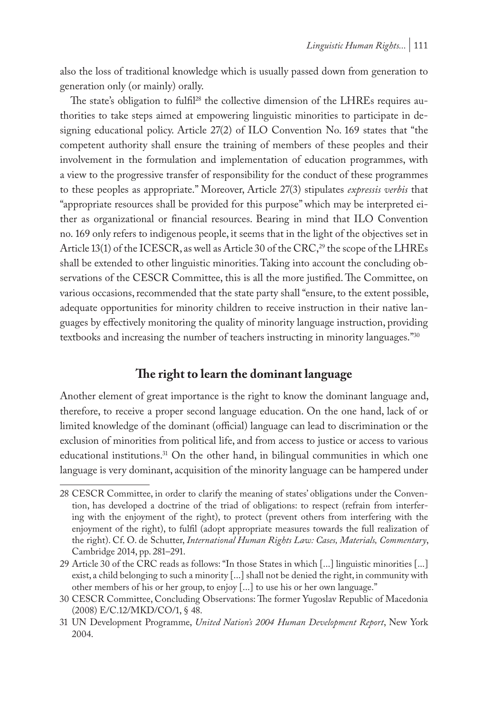also the loss of traditional knowledge which is usually passed down from generation to generation only (or mainly) orally.

The state's obligation to fulfil<sup>28</sup> the collective dimension of the LHREs requires authorities to take steps aimed at empowering linguistic minorities to participate in designing educational policy. Article 27(2) of ILO Convention No. 169 states that "the competent authority shall ensure the training of members of these peoples and their involvement in the formulation and implementation of education programmes, with a view to the progressive transfer of responsibility for the conduct of these programmes to these peoples as appropriate." Moreover, Article 27(3) stipulates *expressis verbis* that "appropriate resources shall be provided for this purpose" which may be interpreted either as organizational or financial resources. Bearing in mind that ILO Convention no. 169 only refers to indigenous people, it seems that in the light of the objectives set in Article 13(1) of the ICESCR, as well as Article 30 of the CRC,<sup>29</sup> the scope of the LHREs shall be extended to other linguistic minorities. Taking into account the concluding observations of the CESCR Committee, this is all the more justified. The Committee, on various occasions, recommended that the state party shall "ensure, to the extent possible, adequate opportunities for minority children to receive instruction in their native languages by effectively monitoring the quality of minority language instruction, providing textbooks and increasing the number of teachers instructing in minority languages."30

# **The right to learn the dominant language**

Another element of great importance is the right to know the dominant language and, therefore, to receive a proper second language education. On the one hand, lack of or limited knowledge of the dominant (official) language can lead to discrimination or the exclusion of minorities from political life, and from access to justice or access to various educational institutions.<sup>31</sup> On the other hand, in bilingual communities in which one language is very dominant, acquisition of the minority language can be hampered under

<sup>28</sup> CESCR Committee, in order to clarify the meaning of states' obligations under the Convention, has developed a doctrine of the triad of obligations: to respect (refrain from interfering with the enjoyment of the right), to protect (prevent others from interfering with the enjoyment of the right), to fulfil (adopt appropriate measures towards the full realization of the right). Cf. O. de Schutter, *International Human Rights Law: Cases, Materials, Commentary*, Cambridge 2014, pp. 281–291.

<sup>29</sup> Article 30 of the CRC reads as follows: "In those States in which [...] linguistic minorities [...] exist, a child belonging to such a minority [...] shall not be denied the right, in community with other members of his or her group, to enjoy [...] to use his or her own language."

<sup>30</sup> CESCR Committee, Concluding Observations: The former Yugoslav Republic of Macedonia (2008) E/C.12/MKD/CO/1, § 48.

<sup>31</sup> UN Development Programme, *United Nation's 2004 Human Development Report*, New York 2004.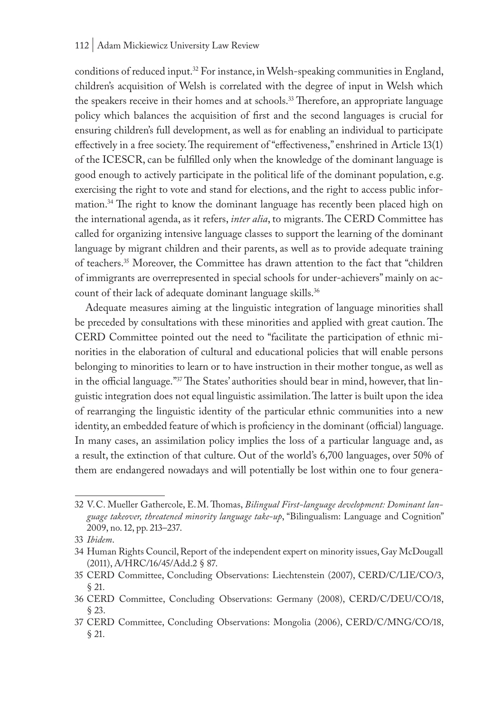#### 112 | Adam Mickiewicz University Law Review

conditions of reduced input.32 For instance, in Welsh-speaking communities in England, children's acquisition of Welsh is correlated with the degree of input in Welsh which the speakers receive in their homes and at schools.<sup>33</sup> Therefore, an appropriate language policy which balances the acquisition of first and the second languages is crucial for ensuring children's full development, as well as for enabling an individual to participate effectively in a free society. The requirement of "effectiveness," enshrined in Article 13(1) of the ICESCR, can be fulfilled only when the knowledge of the dominant language is good enough to actively participate in the political life of the dominant population, e.g. exercising the right to vote and stand for elections, and the right to access public information.34 The right to know the dominant language has recently been placed high on the international agenda, as it refers, *inter alia*, to migrants. The CERD Committee has called for organizing intensive language classes to support the learning of the dominant language by migrant children and their parents, as well as to provide adequate training of teachers.35 Moreover, the Committee has drawn attention to the fact that "children of immigrants are overrepresented in special schools for under-achievers" mainly on account of their lack of adequate dominant language skills.<sup>36</sup>

Adequate measures aiming at the linguistic integration of language minorities shall be preceded by consultations with these minorities and applied with great caution. The CERD Committee pointed out the need to "facilitate the participation of ethnic minorities in the elaboration of cultural and educational policies that will enable persons belonging to minorities to learn or to have instruction in their mother tongue, as well as in the official language."37 The States' authorities should bear in mind, however, that linguistic integration does not equal linguistic assimilation. The latter is built upon the idea of rearranging the linguistic identity of the particular ethnic communities into a new identity, an embedded feature of which is proficiency in the dominant (official) language. In many cases, an assimilation policy implies the loss of a particular language and, as a result, the extinction of that culture. Out of the world's 6,700 languages, over 50% of them are endangered nowadays and will potentially be lost within one to four genera-

<sup>32</sup> V.C. Mueller Gathercole, E.M. Thomas, *Bilingual First-language development: Dominant language takeover, threatened minority language take-up*, "Bilingualism: Language and Cognition" 2009, no. 12, pp. 213–237.

<sup>33</sup> *Ibidem*.

<sup>34</sup> Human Rights Council, Report of the independent expert on minority issues, Gay McDougall (2011), A/HRC/16/45/Add.2 § 87.

<sup>35</sup> CERD Committee, Concluding Observations: Liechtenstein (2007), CERD/C/LIE/CO/3, § 21.

<sup>36</sup> CERD Committee, Concluding Observations: Germany (2008), CERD/C/DEU/CO/18, § 23.

<sup>37</sup> CERD Committee, Concluding Observations: Mongolia (2006), CERD/C/MNG/CO/18, § 21.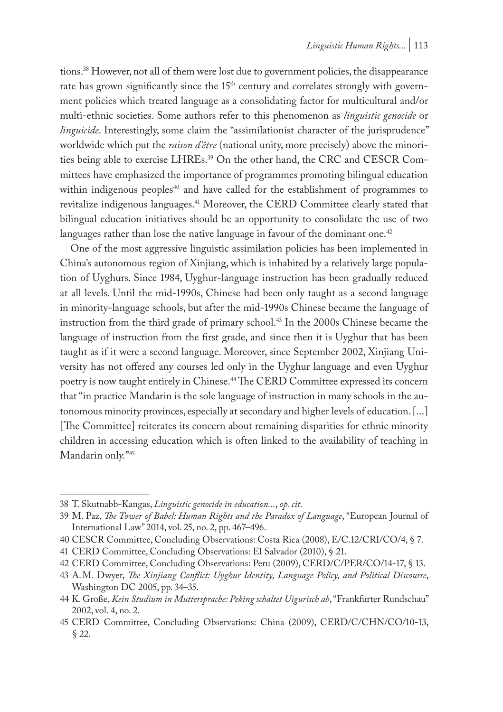tions.38 However, not all of them were lost due to government policies, the disappearance rate has grown significantly since the 15<sup>th</sup> century and correlates strongly with government policies which treated language as a consolidating factor for multicultural and/or multi-ethnic societies. Some authors refer to this phenomenon as *linguistic genocide* or *linguicide*. Interestingly, some claim the "assimilationist character of the jurisprudence" worldwide which put the *raison d'être* (national unity, more precisely) above the minorities being able to exercise LHREs.39 On the other hand, the CRC and CESCR Committees have emphasized the importance of programmes promoting bilingual education within indigenous peoples<sup>40</sup> and have called for the establishment of programmes to revitalize indigenous languages.41 Moreover, the CERD Committee clearly stated that bilingual education initiatives should be an opportunity to consolidate the use of two languages rather than lose the native language in favour of the dominant one.<sup>42</sup>

One of the most aggressive linguistic assimilation policies has been implemented in China's autonomous region of Xinjiang, which is inhabited by a relatively large population of Uyghurs. Since 1984, Uyghur-language instruction has been gradually reduced at all levels. Until the mid-1990s, Chinese had been only taught as a second language in minority-language schools, but after the mid-1990s Chinese became the language of instruction from the third grade of primary school.43 In the 2000s Chinese became the language of instruction from the first grade, and since then it is Uyghur that has been taught as if it were a second language. Moreover, since September 2002, Xinjiang University has not offered any courses led only in the Uyghur language and even Uyghur poetry is now taught entirely in Chinese.44 The CERD Committee expressed its concern that "in practice Mandarin is the sole language of instruction in many schools in the autonomous minority provinces, especially at secondary and higher levels of education. [...] [The Committee] reiterates its concern about remaining disparities for ethnic minority children in accessing education which is often linked to the availability of teaching in Mandarin only."45

40 CESCR Committee, Concluding Observations: Costa Rica (2008), E/C.12/CRI/CO/4, § 7.

<sup>38</sup> T. Skutnabb-Kangas, *Linguistic genocide in education...*, *op. cit.*

<sup>39</sup> M. Paz, *The Tower of Babel: Human Rights and the Paradox of Language*, "European Journal of International Law" 2014, vol. 25, no. 2, pp. 467–496.

<sup>41</sup> CERD Committee, Concluding Observations: El Salvador (2010), § 21.

<sup>42</sup> CERD Committee, Concluding Observations: Peru (2009), CERD/C/PER/CO/14-17, § 13.

<sup>43</sup> A.M. Dwyer, *The Xinjiang Conflict: Uyghur Identity, Language Policy, and Political Discourse*, Washington DC 2005, pp. 34–35.

<sup>44</sup> K. Große, *Kein Studium in Muttersprache: Peking schaltet Uigurisch ab*, "Frankfurter Rundschau" 2002, vol. 4, no. 2.

<sup>45</sup> CERD Committee, Concluding Observations: China (2009), CERD/C/CHN/CO/10-13, § 22.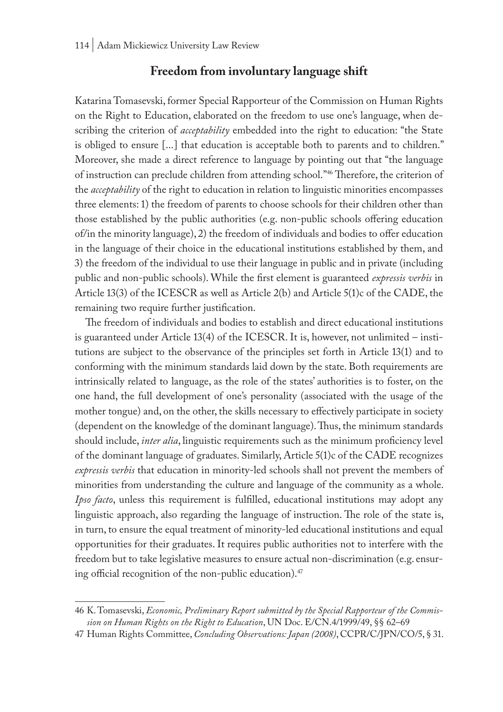### **Freedom from involuntary language shift**

Katarina Tomasevski, former Special Rapporteur of the Commission on Human Rights on the Right to Education, elaborated on the freedom to use one's language, when describing the criterion of *acceptability* embedded into the right to education: "the State is obliged to ensure [...] that education is acceptable both to parents and to children." Moreover, she made a direct reference to language by pointing out that "the language of instruction can preclude children from attending school."46 Therefore, the criterion of the *acceptability* of the right to education in relation to linguistic minorities encompasses three elements: 1) the freedom of parents to choose schools for their children other than those established by the public authorities (e.g. non-public schools offering education of/in the minority language), 2) the freedom of individuals and bodies to offer education in the language of their choice in the educational institutions established by them, and 3) the freedom of the individual to use their language in public and in private (including public and non-public schools). While the first element is guaranteed *expressis verbis* in Article 13(3) of the ICESCR as well as Article 2(b) and Article 5(1)c of the CADE, the remaining two require further justification.

The freedom of individuals and bodies to establish and direct educational institutions is guaranteed under Article 13(4) of the ICESCR. It is, however, not unlimited – institutions are subject to the observance of the principles set forth in Article 13(1) and to conforming with the minimum standards laid down by the state. Both requirements are intrinsically related to language, as the role of the states' authorities is to foster, on the one hand, the full development of one's personality (associated with the usage of the mother tongue) and, on the other, the skills necessary to effectively participate in society (dependent on the knowledge of the dominant language). Thus, the minimum standards should include, *inter alia*, linguistic requirements such as the minimum proficiency level of the dominant language of graduates. Similarly, Article 5(1)c of the CADE recognizes *expressis verbis* that education in minority-led schools shall not prevent the members of minorities from understanding the culture and language of the community as a whole. *Ipso facto*, unless this requirement is fulfilled, educational institutions may adopt any linguistic approach, also regarding the language of instruction. The role of the state is, in turn, to ensure the equal treatment of minority-led educational institutions and equal opportunities for their graduates. It requires public authorities not to interfere with the freedom but to take legislative measures to ensure actual non-discrimination (e.g. ensuring official recognition of the non-public education).<sup>47</sup>

<sup>46</sup> K. Tomasevski, *Economic, Preliminary Report submitted by the Special Rapporteur of the Commission on Human Rights on the Right to Education*, UN Doc. E/CN.4/1999/49, §§ 62–69

<sup>47</sup> Human Rights Committee, *Concluding Observations: Japan (2008)*, CCPR/C/JPN/CO/5, § 31.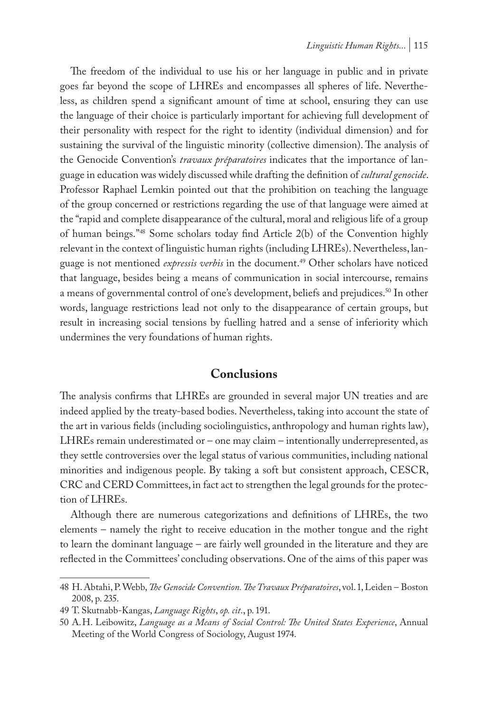The freedom of the individual to use his or her language in public and in private goes far beyond the scope of LHREs and encompasses all spheres of life. Nevertheless, as children spend a significant amount of time at school, ensuring they can use the language of their choice is particularly important for achieving full development of their personality with respect for the right to identity (individual dimension) and for sustaining the survival of the linguistic minority (collective dimension). The analysis of the Genocide Convention's *travaux préparatoires* indicates that the importance of language in education was widely discussed while drafting the definition of *cultural genocide*. Professor Raphael Lemkin pointed out that the prohibition on teaching the language of the group concerned or restrictions regarding the use of that language were aimed at the "rapid and complete disappearance of the cultural, moral and religious life of a group of human beings."48 Some scholars today find Article 2(b) of the Convention highly relevant in the context of linguistic human rights (including LHREs). Nevertheless, language is not mentioned *expressis verbis* in the document.49 Other scholars have noticed that language, besides being a means of communication in social intercourse, remains a means of governmental control of one's development, beliefs and prejudices.<sup>50</sup> In other words, language restrictions lead not only to the disappearance of certain groups, but result in increasing social tensions by fuelling hatred and a sense of inferiority which undermines the very foundations of human rights.

## **Conclusions**

The analysis confirms that LHREs are grounded in several major UN treaties and are indeed applied by the treaty-based bodies. Nevertheless, taking into account the state of the art in various fields (including sociolinguistics, anthropology and human rights law), LHREs remain underestimated or – one may claim – intentionally underrepresented, as they settle controversies over the legal status of various communities, including national minorities and indigenous people. By taking a soft but consistent approach, CESCR, CRC and CERD Committees, in fact act to strengthen the legal grounds for the protection of LHREs.

Although there are numerous categorizations and definitions of LHREs, the two elements – namely the right to receive education in the mother tongue and the right to learn the dominant language – are fairly well grounded in the literature and they are reflected in the Committees' concluding observations. One of the aims of this paper was

<sup>48</sup> H. Abtahi, P. Webb, *The Genocide Convention. The Travaux Préparatoires*, vol. 1, Leiden – Boston 2008, p. 235.

<sup>49</sup> T. Skutnabb-Kangas, *Language Rights*, *op. cit*., p. 191.

<sup>50</sup> A.H. Leibowitz, *Language as a Means of Social Control: The United States Experience*, Annual Meeting of the World Congress of Sociology, August 1974.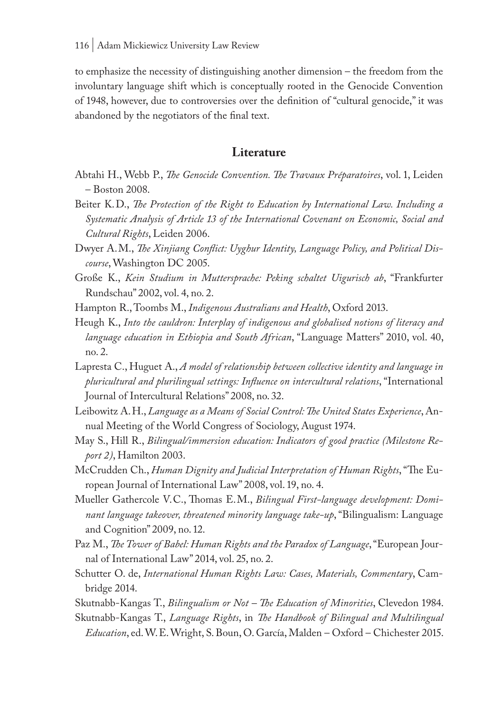to emphasize the necessity of distinguishing another dimension – the freedom from the involuntary language shift which is conceptually rooted in the Genocide Convention of 1948, however, due to controversies over the definition of "cultural genocide," it was abandoned by the negotiators of the final text.

### **Literature**

- Abtahi H., Webb P., *The Genocide Convention. The Travaux Préparatoires*, vol. 1, Leiden – Boston 2008.
- Beiter K.D., *The Protection of the Right to Education by International Law. Including a Systematic Analysis of Article 13 of the International Covenant on Economic, Social and Cultural Rights*, Leiden 2006.
- Dwyer A.M., *The Xinjiang Conflict: Uyghur Identity, Language Policy, and Political Discourse*, Washington DC 2005.
- Große K., *Kein Studium in Muttersprache: Peking schaltet Uigurisch ab*, "Frankfurter Rundschau" 2002, vol. 4, no. 2.
- Hampton R., Toombs M., *Indigenous Australians and Health*, Oxford 2013.
- Heugh K., *Into the cauldron: Interplay of indigenous and globalised notions of literacy and language education in Ethiopia and South African*, "Language Matters" 2010, vol. 40, no. 2.
- Lapresta C., Huguet A., *A model of relationship between collective identity and language in pluricultural and plurilingual settings: Influence on intercultural relations*, "International Journal of Intercultural Relations" 2008, no. 32.
- Leibowitz A.H., *Language as a Means of Social Control: The United States Experience*, Annual Meeting of the World Congress of Sociology, August 1974.
- May S., Hill R., *Bilingual/immersion education: Indicators of good practice (Milestone Report 2)*, Hamilton 2003.
- McCrudden Ch., *Human Dignity and Judicial Interpretation of Human Rights*, "The European Journal of International Law" 2008, vol. 19, no. 4.
- Mueller Gathercole V.C., Thomas E.M., *Bilingual First-language development: Dominant language takeover, threatened minority language take-up*, "Bilingualism: Language and Cognition" 2009, no. 12.
- Paz M., *The Tower of Babel: Human Rights and the Paradox of Language*, "European Journal of International Law" 2014, vol. 25, no. 2.
- Schutter O. de, *International Human Rights Law: Cases, Materials, Commentary*, Cambridge 2014.
- Skutnabb-Kangas T., *Bilingualism or Not The Education of Minorities*, Clevedon 1984.
- Skutnabb-Kangas T., *Language Rights*, in *The Handbook of Bilingual and Multilingual Education*, ed. W.E. Wright, S. Boun, O. García, Malden – Oxford – Chichester 2015.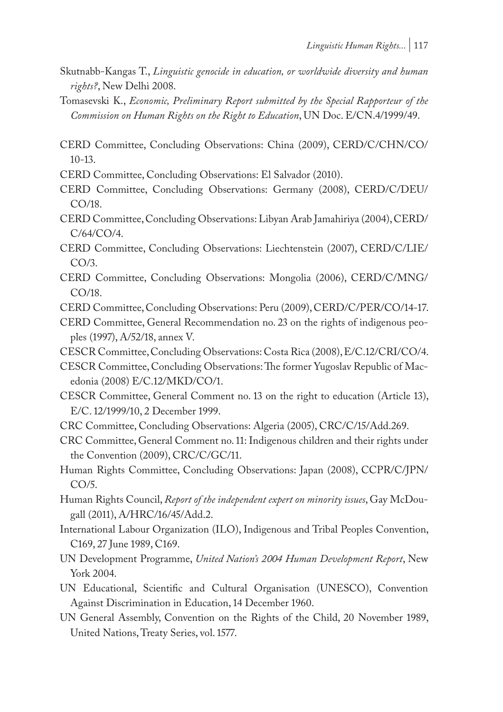- Skutnabb-Kangas T., *Linguistic genocide in education, or worldwide diversity and human rights?*, New Delhi 2008.
- Tomasevski K., *Economic, Preliminary Report submitted by the Special Rapporteur of the Commission on Human Rights on the Right to Education*, UN Doc. E/CN.4/1999/49.
- CERD Committee, Concluding Observations: China (2009), CERD/C/CHN/CO/ 10-13.
- CERD Committee, Concluding Observations: El Salvador (2010).
- CERD Committee, Concluding Observations: Germany (2008), CERD/C/DEU/ CO/18.
- CERD Committee, Concluding Observations: Libyan Arab Jamahiriya (2004), CERD/ C/64/CO/4.
- CERD Committee, Concluding Observations: Liechtenstein (2007), CERD/C/LIE/ CO/3.
- CERD Committee, Concluding Observations: Mongolia (2006), CERD/C/MNG/ CO/18.
- CERD Committee, Concluding Observations: Peru (2009), CERD/C/PER/CO/14-17.
- CERD Committee, General Recommendation no. 23 on the rights of indigenous peoples (1997), A/52/18, annex V.
- CESCR Committee, Concluding Observations: Costa Rica (2008), E/C.12/CRI/CO/4.
- CESCR Committee, Concluding Observations: The former Yugoslav Republic of Macedonia (2008) E/C.12/MKD/CO/1.
- CESCR Committee, General Comment no. 13 on the right to education (Article 13), E/C. 12/1999/10, 2 December 1999.
- CRC Committee, Concluding Observations: Algeria (2005), CRC/C/15/Add.269.
- CRC Committee, General Comment no. 11: Indigenous children and their rights under the Convention (2009), CRC/C/GC/11.
- Human Rights Committee, Concluding Observations: Japan (2008), CCPR/C/JPN/ CO/5.
- Human Rights Council, *Report of the independent expert on minority issues*, Gay McDougall (2011), A/HRC/16/45/Add.2.
- International Labour Organization (ILO), Indigenous and Tribal Peoples Convention, C169, 27 June 1989, C169.
- UN Development Programme, *United Nation's 2004 Human Development Report*, New York 2004.
- UN Educational, Scientific and Cultural Organisation (UNESCO), Convention Against Discrimination in Education, 14 December 1960.
- UN General Assembly, Convention on the Rights of the Child, 20 November 1989, United Nations, Treaty Series, vol. 1577.